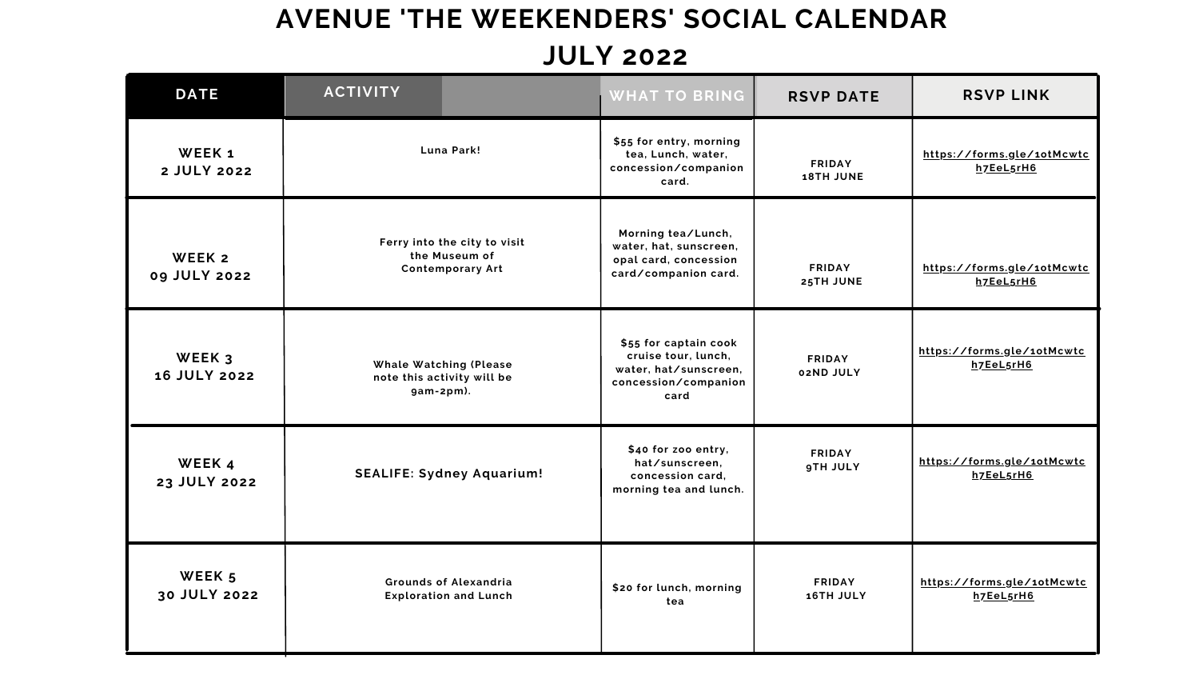## **AVENUE 'THE WEEKENDERS' SOCIAL CALENDAR JULY 2022**

| <b>DATE</b>                   | <b>ACTIVITY</b>                                                          |                                                              | <b>WHAT TO BRING</b>                                                                                  | <b>RSVP DATE</b>                  | <b>RSVP LINK</b>                        |
|-------------------------------|--------------------------------------------------------------------------|--------------------------------------------------------------|-------------------------------------------------------------------------------------------------------|-----------------------------------|-----------------------------------------|
| WEEK 1<br>2 JULY 2022         | <b>Luna Park!</b>                                                        |                                                              | \$55 for entry, morning<br>tea, Lunch, water,<br>concession/companion<br>card.                        | <b>FRIDAY</b><br><b>18TH JUNE</b> | https://forms.gle/1otMcwtc<br>h7EeL5rH6 |
| WEEK 2<br>09 JULY 2022        | Ferry into the city to visit<br>the Museum of<br><b>Contemporary Art</b> |                                                              | Morning tea/Lunch,<br>water, hat, sunscreen,<br>opal card, concession<br>card/companion card.         | <b>FRIDAY</b><br>25TH JUNE        | https://forms.gle/1otMcwtc<br>h7EeL5rH6 |
| WEEK 3<br><b>16 JULY 2022</b> | $gam-2pm$ ).                                                             | <b>Whale Watching (Please</b><br>note this activity will be  | \$55 for captain cook<br>cruise tour, lunch,<br>water, hat/sunscreen,<br>concession/companion<br>card | <b>FRIDAY</b><br>02ND JULY        | https://forms.gle/1otMcwtc<br>h7EeL5rH6 |
| WEEK 4<br>23 JULY 2022        | <b>SEALIFE: Sydney Aquarium!</b>                                         |                                                              | \$40 for zoo entry,<br>hat/sunscreen,<br>concession card,<br>morning tea and lunch.                   | <b>FRIDAY</b><br><b>9TH JULY</b>  | https://forms.gle/1otMcwtc<br>h7EeL5rH6 |
| WEEK 5<br>30 JULY 2022        |                                                                          | <b>Grounds of Alexandria</b><br><b>Exploration and Lunch</b> | \$20 for lunch, morning<br>tea                                                                        | <b>FRIDAY</b><br>16TH JULY        | https://forms.gle/1otMcwtc<br>h7EeL5rH6 |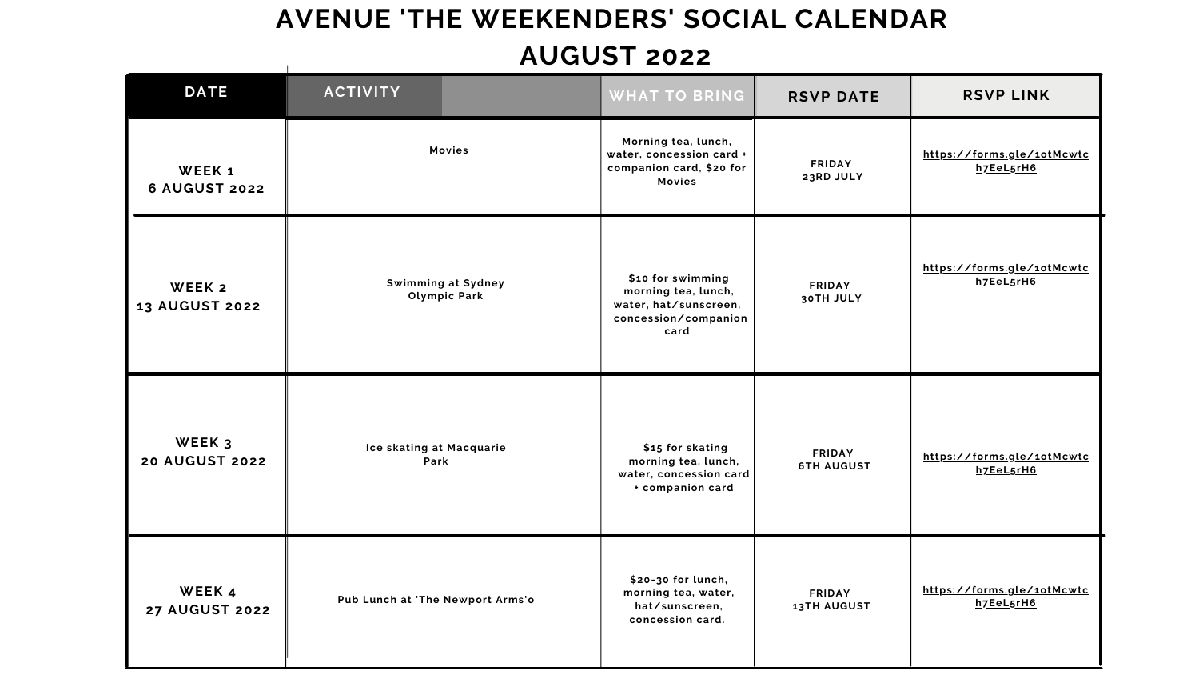## **AVENUE 'THE WEEKENDERS' SOCIAL CALENDAR AUGUST 2022**  $\mathbf{I}^{\mathbf{A}}$

| <b>RSVP DATE</b>   | <b>RSVP LINK</b>           |
|--------------------|----------------------------|
| <b>FRIDAY</b>      | https://forms.gle/10tMcwtc |
| 23RD JULY          | h7EeL5rH6                  |
| <b>FRIDAY</b>      | https://forms.gle/1otMcwtc |
| <b>30TH JULY</b>   | h7EeL5rH6                  |
| <b>FRIDAY</b>      | https://forms.gle/1otMcwtc |
| <b>6TH AUGUST</b>  | h7EeL5rH6                  |
| <b>FRIDAY</b>      | https://forms.gle/1otMcwtc |
| <b>13TH AUGUST</b> | h7EeL5rH6                  |

| <b>DATE</b>                     | <b>ACTIVITY</b>                                  | <b>WHAT TO BRING</b>                                                                              | <b>RSVP DATE</b>                    | <b>RSVP LINK</b>                  |
|---------------------------------|--------------------------------------------------|---------------------------------------------------------------------------------------------------|-------------------------------------|-----------------------------------|
| WEEK 1<br><b>6 AUGUST 2022</b>  | <b>Movies</b>                                    | Morning tea, lunch,<br>water, concession card +<br>companion card, \$20 for<br><b>Movies</b>      | <b>FRIDAY</b><br>23RD JULY          | https://forms.gle/10<br>h7EeL5rH6 |
| WEEK 2<br><b>13 AUGUST 2022</b> | <b>Swimming at Sydney</b><br><b>Olympic Park</b> | \$10 for swimming<br>morning tea, lunch,<br>water, hat/sunscreen,<br>concession/companion<br>card | <b>FRIDAY</b><br><b>30TH JULY</b>   | https://forms.gle/10<br>h7EeL5rH6 |
| WEEK 3<br><b>20 AUGUST 2022</b> | Ice skating at Macquarie<br><b>Park</b>          | \$15 for skating<br>morning tea, lunch,<br>water, concession card<br>+ companion card             | <b>FRIDAY</b><br><b>6TH AUGUST</b>  | https://forms.gle/10<br>h7EeL5rH6 |
| WEEK 4<br><b>27 AUGUST 2022</b> | Pub Lunch at 'The Newport Arms'o                 | \$20-30 for lunch,<br>morning tea, water,<br>hat/sunscreen,<br>concession card.                   | <b>FRIDAY</b><br><b>13TH AUGUST</b> | https://forms.gle/10<br>h7EeL5rH6 |